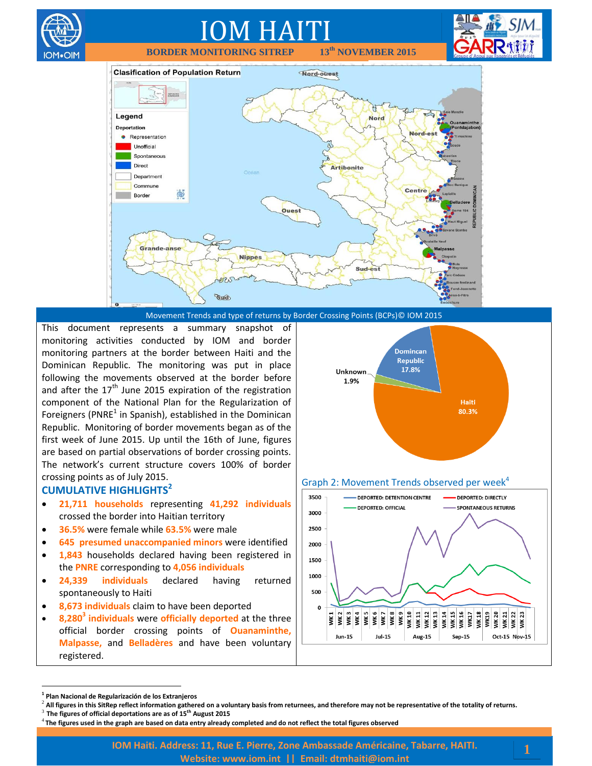

Movement Trends and type of returns by Border Crossing Points (BCPs)© IOM 2015

This document represents a summary snapshot of monitoring activities conducted by IOM and border monitoring partners at the border between Haiti and the Dominican Republic. The monitoring was put in place following the movements observed at the border before and after the  $17<sup>th</sup>$  June 2015 expiration of the registration component of the National Plan for the Regularization of Foreigners (PNRE<sup>1</sup> in Spanish), established in the Dominican Republic. Monitoring of border movements began as of the first week of June 2015. Up until the 16th of June, figures are based on partial observations of border crossing points. The network's current structure covers 100% of border crossing points as of July 2015.

#### **CUMULATIVE HIGHLIGHTS<sup>2</sup>**

OM•OIN

- **21,711 households** representing **41,292 individuals** crossed the border into Haitian territory
- **36.5%** were female while **63.5%** were male
- **645 presumed unaccompanied minors** were identified
- **1,843** households declared having been registered in the **PNRE** corresponding to **4,056 individuals**
- **24,339 individuals** declared having returned spontaneously to Haiti
- **8,673 individuals** claim to have been deported
- **8,280<sup>3</sup> individuals** were **officially deported** at the three official border crossing points of **Ouanaminthe, Malpasse,** and **Belladères** and have been voluntary registered.



#### Graph 2: Movement Trends observed per week $4$



 $\overline{a}$ 

**<sup>1</sup> Plan Nacional de Regularización de los Extranjeros**

<sup>2</sup> **All figures in this SitRep reflect information gathered on a voluntary basis from returnees, and therefore may not be representative of the totality of returns.**

<sup>3</sup> **The figures of official deportations are as of 15th August 2015**

<sup>4</sup> **The figures used in the graph are based on data entry already completed and do not reflect the total figures observed**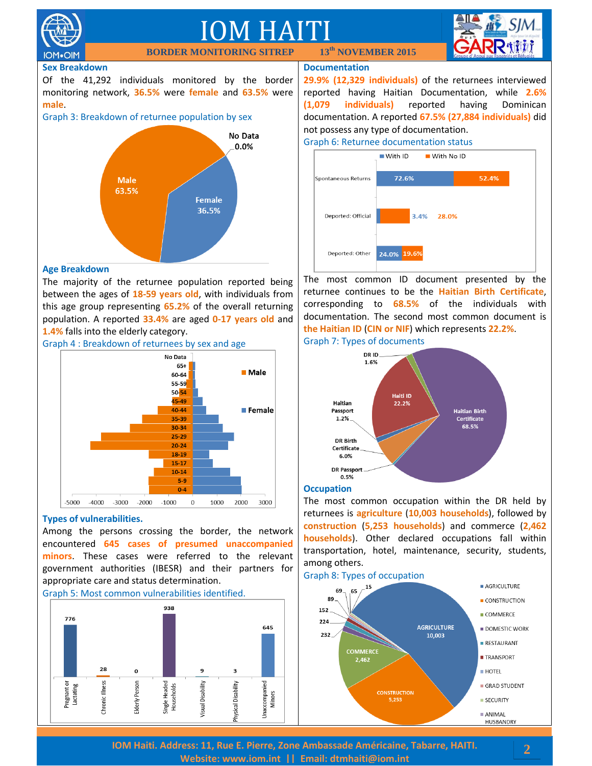

**IOM**.OIM

### IOM HAITI **BORDER MONITORING SITREP 13th NOVEMBER 2015**



#### **Sex Breakdown**

Of the 41,292 individuals monitored by the border monitoring network, **36.5%** were **female** and **63.5%** were **male**.





#### **Age Breakdown**

The majority of the returnee population reported being between the ages of **18-59 years old**, with individuals from this age group representing **65.2%** of the overall returning population. A reported **33.4%** are aged **0-17 years old** and **1.4%** falls into the elderly category.



#### **Types of vulnerabilities.**

Among the persons crossing the border, the network encountered **645 cases of presumed unaccompanied minors**. These cases were referred to the relevant government authorities (IBESR) and their partners for appropriate care and status determination.

#### Graph 5: Most common vulnerabilities identified.



#### **Documentation**

**29.9% (12,329 individuals)** of the returnees interviewed reported having Haitian Documentation, while **2.6% (1,079 individuals)** reported having Dominican documentation. A reported **67.5% (27,884 individuals)** did not possess any type of documentation.





The most common ID document presented by the returnee continues to be the **Haitian Birth Certificate**, corresponding to **68.5%** of the individuals with documentation. The second most common document is **the Haitian ID** (**CIN or NIF**) which represents **22.2%**.





#### **Occupation**

The most common occupation within the DR held by returnees is **agriculture** (**10,003 households**), followed by **construction** (**5,253 households**) and commerce (**2,462 households**). Other declared occupations fall within transportation, hotel, maintenance, security, students, among others.

#### Graph 8: Types of occupation



**IOM Haiti. Address: 11, Rue E. Pierre, Zone Ambassade Américaine, Tabarre, HAITI. Website: [www.iom.int](http://www.iom.int/) || Email: [dtmhaiti@iom.int](mailto:dtmhaiti@iom.int?subject=Border%20Monitoring%20info%20request)**

#### **2**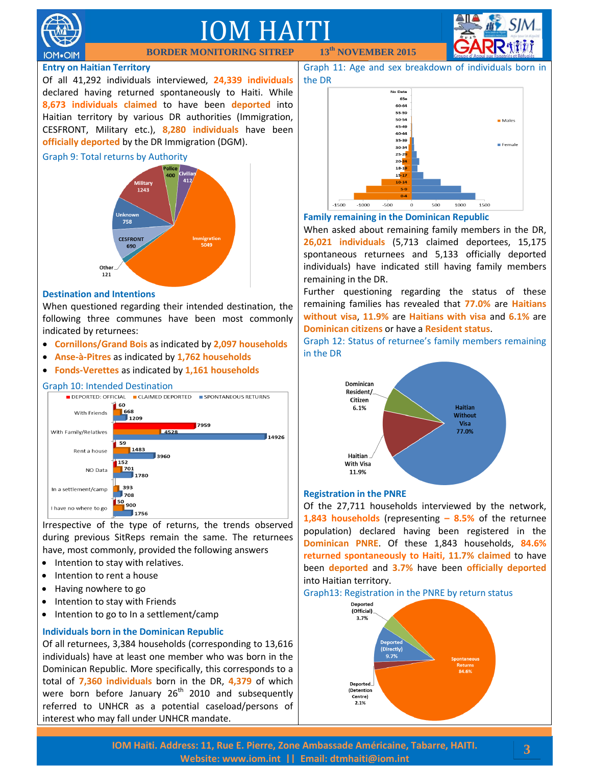

### IOM HAITI

**BORDER MONITORING SITREP 13th NOVEMBER 2015**

#### **Entry on Haitian Territory**

Of all 41,292 individuals interviewed, **24,339 individuals** declared having returned spontaneously to Haiti. While **8,673 individuals claimed** to have been **deported** into Haitian territory by various DR authorities (Immigration, CESFRONT, Military etc.), **8,280 individuals** have been **officially deported** by the DR Immigration (DGM).





#### **Destination and Intentions**

When questioned regarding their intended destination, the following three communes have been most commonly indicated by returnees:

- **Cornillons/Grand Bois** as indicated by **2,097 households**
- **Anse-à-Pitres** as indicated by **1,762 households**
- **Fonds-Verettes** as indicated by **1,161 households**

#### Graph 10: Intended Destination



Irrespective of the type of returns, the trends observed during previous SitReps remain the same. The returnees have, most commonly, provided the following answers

- Intention to stay with relatives.
- Intention to rent a house
- Having nowhere to go
- Intention to stay with Friends
- Intention to go to In a settlement/camp

#### **Individuals born in the Dominican Republic**

Of all returnees, 3,384 households (corresponding to 13,616 individuals) have at least one member who was born in the Dominican Republic. More specifically, this corresponds to a total of **7,360 individuals** born in the DR, **4,379** of which were born before January  $26<sup>th</sup>$  2010 and subsequently referred to UNHCR as a potential caseload/persons of interest who may fall under UNHCR mandate.

Graph 11: Age and sex breakdown of individuals born in the DR



#### **Family remaining in the Dominican Republic**

When asked about remaining family members in the DR, **26,021 individuals** (5,713 claimed deportees, 15,175 spontaneous returnees and 5,133 officially deported individuals) have indicated still having family members remaining in the DR.

Further questioning regarding the status of these remaining families has revealed that **77.0%** are **Haitians without visa**, **11.9%** are **Haitians with visa** and **6.1%** are **Dominican citizens** or have a **Resident status**.

Graph 12: Status of returnee's family members remaining in the DR



#### **Registration in the PNRE**

Of the 27,711 households interviewed by the network, **1,843 households** (representing **– 8.5%** of the returnee population) declared having been registered in the **Dominican PNRE**. Of these 1,843 households, **84.6% returned spontaneously to Haiti, 11.7% claimed** to have been **deported** and **3.7%** have been **officially deported** into Haitian territory.

#### Graph13: Registration in the PNRE by return status



**3**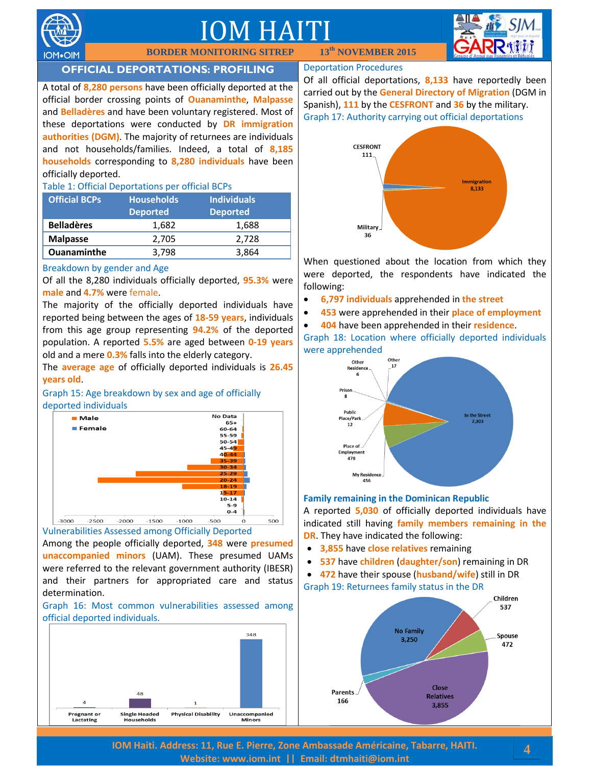

# IOM HAITI



#### **OFFICIAL DEPORTATIONS: PROFILING**

**BORDER MONITORING SITREP** 

A total of **8,280 persons** have been officially deported at the official border crossing points of **Ouanaminthe**, **Malpasse** and **Belladères** and have been voluntary registered. Most of these deportations were conducted by **DR immigration authorities (DGM)**. The majority of returnees are individuals and not households/families. Indeed, a total of **8,185 households** corresponding to **8,280 individuals** have been officially deported.

#### Table 1: Official Deportations per official BCPs

| <b>Official BCPs</b> | <b>Households</b><br><b>Deported</b> | <b>Individuals</b><br><b>Deported</b> |
|----------------------|--------------------------------------|---------------------------------------|
| <b>Belladères</b>    | 1,682                                | 1,688                                 |
| <b>Malpasse</b>      | 2,705                                | 2.728                                 |
| <b>Ouanaminthe</b>   | 3.798                                | 3,864                                 |

#### Breakdown by gender and Age

Of all the 8,280 individuals officially deported, **95.3%** were **male** and **4.7%** were female.

The majority of the officially deported individuals have reported being between the ages of **18-59 years**, individuals from this age group representing **94.2%** of the deported population. A reported **5.5%** are aged between **0-19 years** old and a mere **0.3%** falls into the elderly category.

The **average age** of officially deported individuals is **26.45 years old**.

Graph 15: Age breakdown by sex and age of officially deported individuals



Among the people officially deported, **348** were **presumed unaccompanied minors** (UAM). These presumed UAMs were referred to the relevant government authority (IBESR) and their partners for appropriated care and status determination.

Graph 16: Most common vulnerabilities assessed among official deported individuals.



#### Deportation Procedures

Of all official deportations, **8,133** have reportedly been carried out by the **General Directory of Migration** (DGM in Spanish), **111** by the **CESFRONT** and **36** by the military. Graph 17: Authority carrying out official deportations



When questioned about the location from which they were deported, the respondents have indicated the following:

- **6,797 individuals** apprehended in **the street**
- **453** were apprehended in their **place of employment**
- **404** have been apprehended in their **residence**.

Graph 18: Location where officially deported individuals were apprehended



#### **Family remaining in the Dominican Republic**

A reported **5,030** of officially deported individuals have indicated still having **family members remaining in the DR**. They have indicated the following:

- **3,855** have **close relatives** remaining
- **537** have **children** (**daughter/son**) remaining in DR

 **472** have their spouse (**husband/wife**) still in DR Graph 19: Returnees family status in the DR



**IOM Haiti. Address: 11, Rue E. Pierre, Zone Ambassade Américaine, Tabarre, HAITI. Website: [www.iom.int](http://www.iom.int/) || Email: [dtmhaiti@iom.int](mailto:dtmhaiti@iom.int?subject=Border%20Monitoring%20info%20request)**